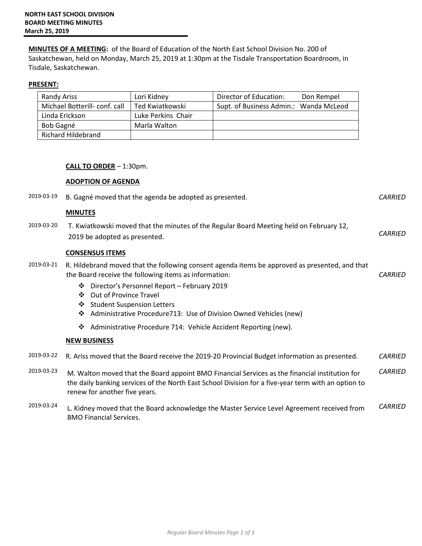**MINUTES OF A MEETING:** of the Board of Education of the North East School Division No. 200 of Saskatchewan, held on Monday, March 25, 2019 at 1:30pm at the Tisdale Transportation Boardroom, in Tisdale, Saskatchewan.

## **PRESENT:**

| Randy Ariss                  | Lori Kidney        | Director of Education:                 | Don Rempel |
|------------------------------|--------------------|----------------------------------------|------------|
| Michael Botterill-conf. call | Ted Kwiatkowski    | Supt. of Business Admin.: Wanda McLeod |            |
| Linda Erickson               | Luke Perkins Chair |                                        |            |
| Bob Gagné                    | Marla Walton       |                                        |            |
| Richard Hildebrand           |                    |                                        |            |

## **CALL TO ORDER** – 1:30pm.

## **ADOPTION OF AGENDA**

BMO Financial Services.

| 2019-03-19 | B. Gagné moved that the agenda be adopted as presented.                                                                                                                                                                                | <b>CARRIED</b> |
|------------|----------------------------------------------------------------------------------------------------------------------------------------------------------------------------------------------------------------------------------------|----------------|
|            | <b>MINUTES</b>                                                                                                                                                                                                                         |                |
| 2019-03-20 | T. Kwiatkowski moved that the minutes of the Regular Board Meeting held on February 12,<br>2019 be adopted as presented.                                                                                                               | <b>CARRIED</b> |
|            | <b>CONSENSUS ITEMS</b>                                                                                                                                                                                                                 |                |
| 2019-03-21 | R. Hildebrand moved that the following consent agenda items be approved as presented, and that<br>the Board receive the following items as information:                                                                                | <b>CARRIED</b> |
|            | Director's Personnel Report - February 2019<br>❖<br><b>Out of Province Travel</b><br>❖<br><b>Student Suspension Letters</b><br>❖<br>Administrative Procedure 713: Use of Division Owned Vehicles (new)<br>❖                            |                |
|            | Administrative Procedure 714: Vehicle Accident Reporting (new).<br>❖                                                                                                                                                                   |                |
|            | <b>NEW BUSINESS</b>                                                                                                                                                                                                                    |                |
| 2019-03-22 | R. Ariss moved that the Board receive the 2019-20 Provincial Budget information as presented.                                                                                                                                          | <b>CARRIED</b> |
| 2019-03-23 | M. Walton moved that the Board appoint BMO Financial Services as the financial institution for<br>the daily banking services of the North East School Division for a five-year term with an option to<br>renew for another five years. | <b>CARRIED</b> |
| 2019-03-24 | L. Kidney moved that the Board acknowledge the Master Service Level Agreement received from                                                                                                                                            | <b>CARRIED</b> |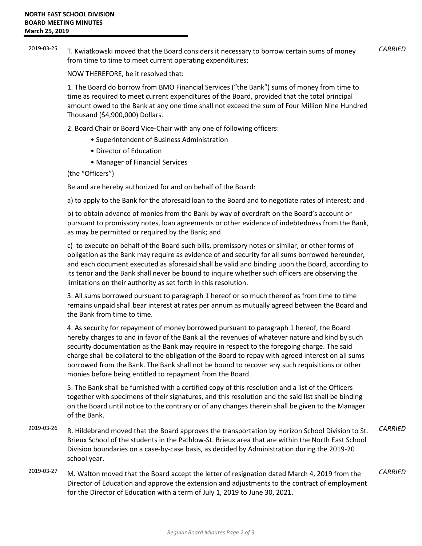2019-03-25 T. Kwiatkowski moved that the Board considers it necessary to borrow certain sums of money from time to time to meet current operating expenditures; *CARRIED*

NOW THEREFORE, be it resolved that:

1. The Board do borrow from BMO Financial Services ("the Bank") sums of money from time to time as required to meet current expenditures of the Board, provided that the total principal amount owed to the Bank at any one time shall not exceed the sum of Four Million Nine Hundred Thousand (\$4,900,000) Dollars.

- 2. Board Chair or Board Vice-Chair with any one of following officers:
	- Superintendent of Business Administration
	- Director of Education
	- Manager of Financial Services

(the "Officers")

Be and are hereby authorized for and on behalf of the Board:

a) to apply to the Bank for the aforesaid loan to the Board and to negotiate rates of interest; and

b) to obtain advance of monies from the Bank by way of overdraft on the Board's account or pursuant to promissory notes, loan agreements or other evidence of indebtedness from the Bank, as may be permitted or required by the Bank; and

c) to execute on behalf of the Board such bills, promissory notes or similar, or other forms of obligation as the Bank may require as evidence of and security for all sums borrowed hereunder, and each document executed as aforesaid shall be valid and binding upon the Board, according to its tenor and the Bank shall never be bound to inquire whether such officers are observing the limitations on their authority as set forth in this resolution.

3. All sums borrowed pursuant to paragraph 1 hereof or so much thereof as from time to time remains unpaid shall bear interest at rates per annum as mutually agreed between the Board and the Bank from time to time.

4. As security for repayment of money borrowed pursuant to paragraph 1 hereof, the Board hereby charges to and in favor of the Bank all the revenues of whatever nature and kind by such security documentation as the Bank may require in respect to the foregoing charge. The said charge shall be collateral to the obligation of the Board to repay with agreed interest on all sums borrowed from the Bank. The Bank shall not be bound to recover any such requisitions or other monies before being entitled to repayment from the Board.

5. The Bank shall be furnished with a certified copy of this resolution and a list of the Officers together with specimens of their signatures, and this resolution and the said list shall be binding on the Board until notice to the contrary or of any changes therein shall be given to the Manager of the Bank.

- 2019-03-26 R. Hildebrand moved that the Board approves the transportation by Horizon School Division to St. Brieux School of the students in the Pathlow-St. Brieux area that are within the North East School Division boundaries on a case-by-case basis, as decided by Administration during the 2019-20 school year. *CARRIED*
- 2019-03-27 M. Walton moved that the Board accept the letter of resignation dated March 4, 2019 from the Director of Education and approve the extension and adjustments to the contract of employment for the Director of Education with a term of July 1, 2019 to June 30, 2021. *CARRIED*